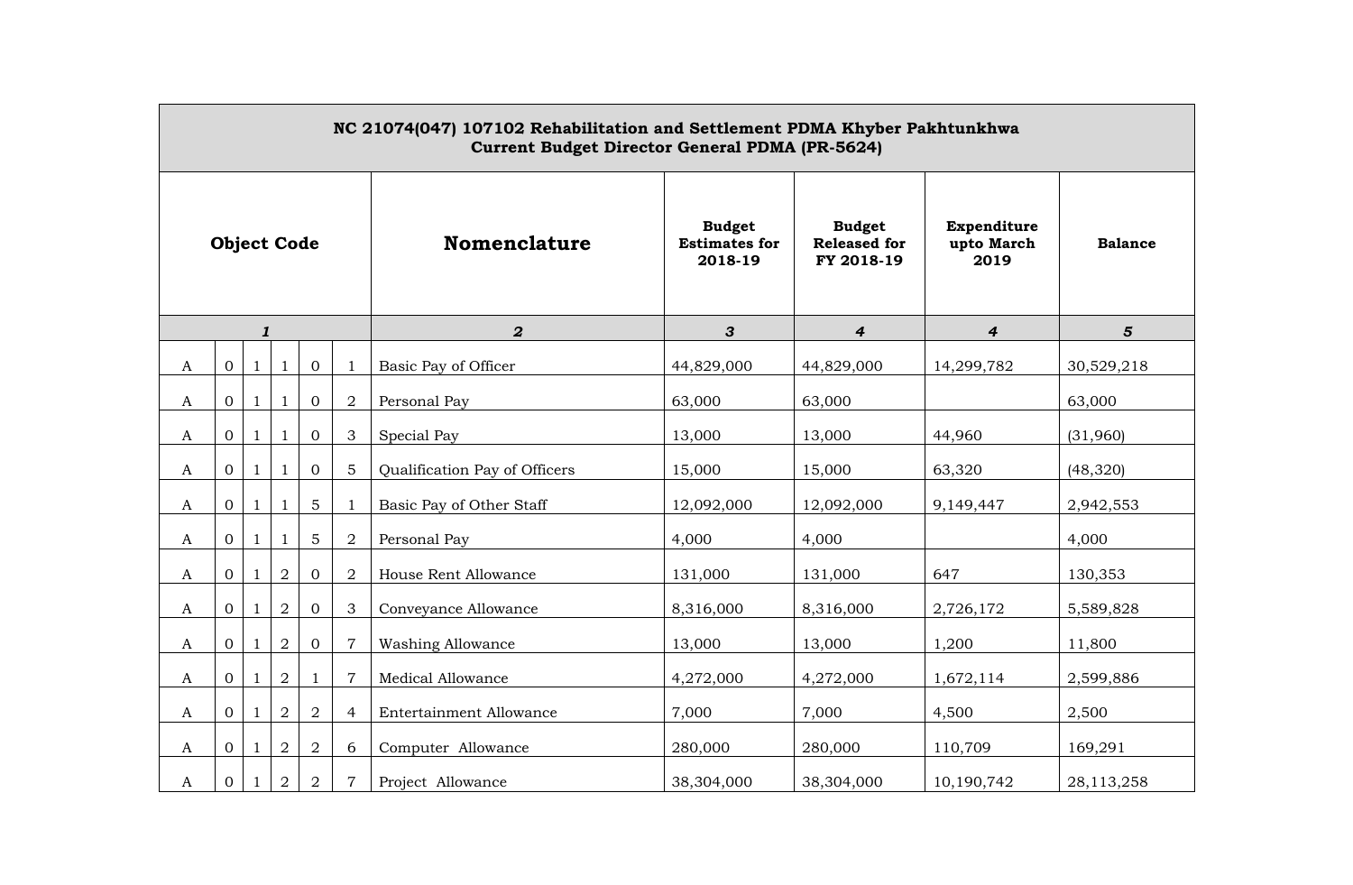| NC 21074(047) 107102 Rehabilitation and Settlement PDMA Khyber Pakhtunkhwa<br><b>Current Budget Director General PDMA (PR-5624)</b> |                  |              |                |                |                |                                |                                                  |                                                    |                                   |                |
|-------------------------------------------------------------------------------------------------------------------------------------|------------------|--------------|----------------|----------------|----------------|--------------------------------|--------------------------------------------------|----------------------------------------------------|-----------------------------------|----------------|
| <b>Object Code</b>                                                                                                                  |                  |              |                |                |                | <b>Nomenclature</b>            | <b>Budget</b><br><b>Estimates for</b><br>2018-19 | <b>Budget</b><br><b>Released for</b><br>FY 2018-19 | Expenditure<br>upto March<br>2019 | <b>Balance</b> |
|                                                                                                                                     |                  | $\mathbf{1}$ |                |                |                | $\boldsymbol{2}$               | 3                                                | $\boldsymbol{4}$                                   | 4                                 | $5\phantom{1}$ |
| A                                                                                                                                   | $\boldsymbol{0}$ | $\mathbf{1}$ | $\mathbf{1}$   | $\mathbf{0}$   |                | Basic Pay of Officer           | 44,829,000                                       | 44,829,000                                         | 14,299,782                        | 30,529,218     |
| A                                                                                                                                   | $\overline{0}$   | $\mathbf{1}$ | $\mathbf{1}$   | $\mathbf{0}$   | $\overline{2}$ | Personal Pay                   | 63,000                                           | 63,000                                             |                                   | 63,000         |
| A                                                                                                                                   | 0                | $\mathbf{1}$ | $\mathbf{1}$   | $\overline{0}$ | 3              | Special Pay                    | 13,000                                           | 13,000                                             | 44,960                            | (31,960)       |
| A                                                                                                                                   | 0                | $\mathbf{1}$ | 1              | $\overline{0}$ | 5              | Qualification Pay of Officers  | 15,000                                           | 15,000                                             | 63,320                            | (48, 320)      |
| A                                                                                                                                   | 0                | $\mathbf{1}$ | 1              | 5              | $\mathbf{1}$   | Basic Pay of Other Staff       | 12,092,000                                       | 12,092,000                                         | 9,149,447                         | 2,942,553      |
| A                                                                                                                                   | 0                | $\mathbf{1}$ | 1              | 5              | $\overline{2}$ | Personal Pay                   | 4,000                                            | 4,000                                              |                                   | 4,000          |
| A                                                                                                                                   | $\Omega$         | $\mathbf{1}$ | $\sqrt{2}$     | $\Omega$       | 2              | House Rent Allowance           | 131,000                                          | 131,000                                            | 647                               | 130,353        |
| $\mathbf{A}$                                                                                                                        | $\overline{0}$   | 1            | $\overline{2}$ | $\mathbf{0}$   | 3              | Conveyance Allowance           | 8,316,000                                        | 8,316,000                                          | 2,726,172                         | 5,589,828      |
| A                                                                                                                                   | $\overline{0}$   | $\mathbf{1}$ | $\overline{a}$ | $\overline{0}$ | $\overline{7}$ | <b>Washing Allowance</b>       | 13,000                                           | 13,000                                             | 1,200                             | 11,800         |
| A                                                                                                                                   | 0                | $\mathbf{1}$ | $\overline{2}$ | $\mathbf{1}$   | $\overline{7}$ | Medical Allowance              | 4,272,000                                        | 4,272,000                                          | 1,672,114                         | 2,599,886      |
| A                                                                                                                                   | 0                | $\mathbf{1}$ | $\overline{2}$ | $\overline{a}$ | $\overline{4}$ | <b>Entertainment Allowance</b> | 7,000                                            | 7,000                                              | 4,500                             | 2,500          |
| A                                                                                                                                   | 0                | $\mathbf{1}$ | $\overline{2}$ | $\overline{2}$ | 6              | Computer Allowance             | 280,000                                          | 280,000                                            | 110,709                           | 169,291        |
| A                                                                                                                                   | $\overline{0}$   | $\mathbf{1}$ | $\overline{a}$ | $\overline{a}$ | $\overline{7}$ | Project Allowance              | 38,304,000                                       | 38,304,000                                         | 10,190,742                        | 28,113,258     |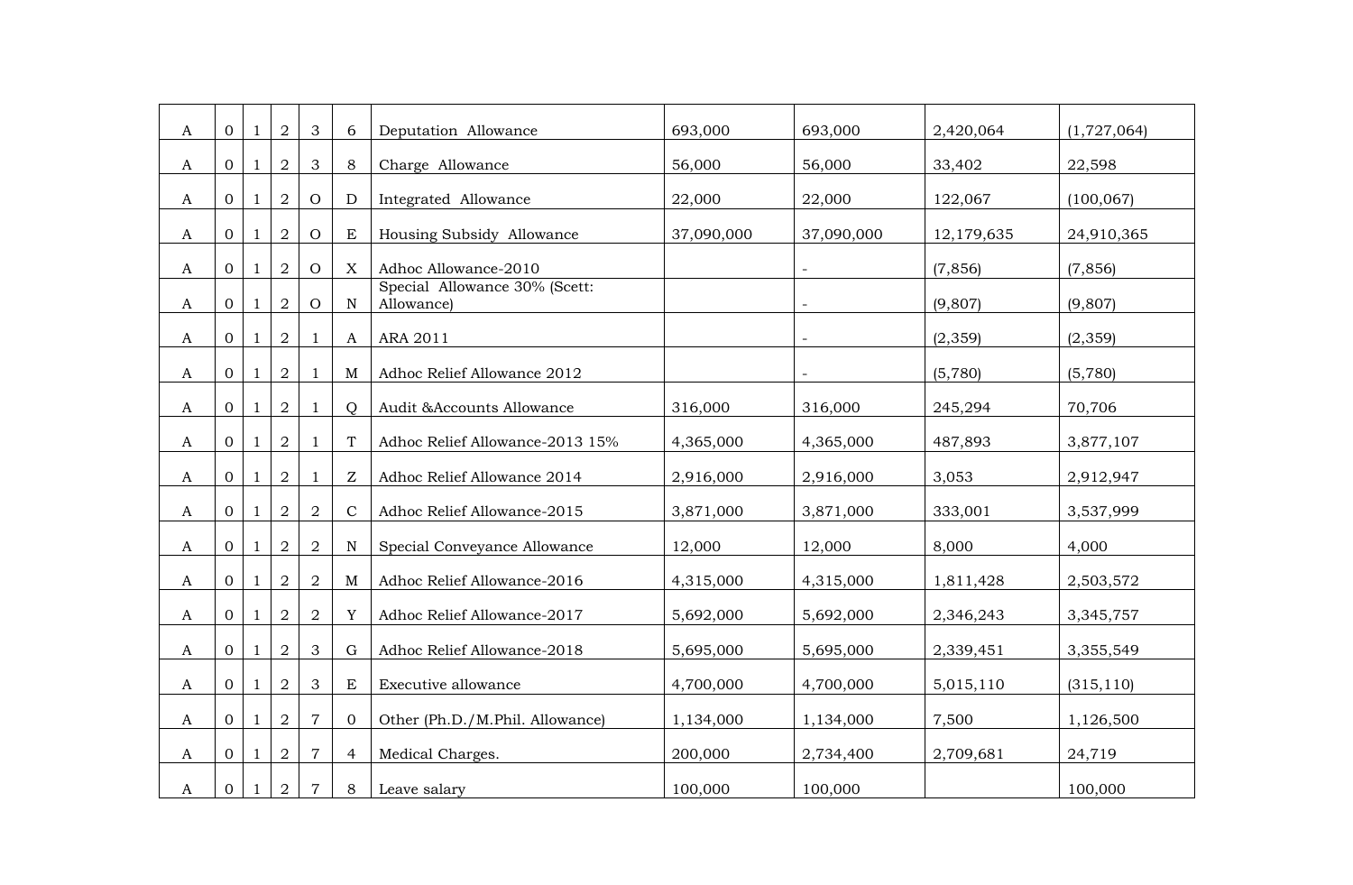| A | $\Omega$       | -1           | 2              | 3              | 6                | Deputation Allowance                        | 693,000    | 693,000    | 2,420,064  | (1,727,064) |
|---|----------------|--------------|----------------|----------------|------------------|---------------------------------------------|------------|------------|------------|-------------|
| A | $\overline{0}$ | 1            | $\overline{2}$ | $\mathfrak{Z}$ | 8                | Charge Allowance                            | 56,000     | 56,000     | 33,402     | 22,598      |
| A | $\Omega$       | -1           | 2              | $\overline{O}$ | D                | Integrated Allowance                        | 22,000     | 22,000     | 122,067    | (100, 067)  |
| A | $\Omega$       | -1           | $\overline{2}$ | $\overline{O}$ | E                | Housing Subsidy Allowance                   | 37,090,000 | 37,090,000 | 12,179,635 | 24,910,365  |
|   |                |              |                |                |                  |                                             |            |            |            |             |
| A | 0              | -1           | $\overline{2}$ | $\overline{O}$ | $\boldsymbol{X}$ | Adhoc Allowance-2010                        |            |            | (7, 856)   | (7, 856)    |
| A | $\Omega$       |              | $\overline{2}$ | $\overline{O}$ | N                | Special Allowance 30% (Scett:<br>Allowance) |            |            | (9,807)    | (9,807)     |
| A | $\Omega$       | $\mathbf{1}$ | $\overline{2}$ | -1             | A                | ARA 2011                                    |            |            | (2, 359)   | (2, 359)    |
|   |                |              |                |                |                  |                                             |            |            |            |             |
| A | $\overline{0}$ |              | $\overline{2}$ | $\mathbf{1}$   | M                | Adhoc Relief Allowance 2012                 |            |            | (5,780)    | (5,780)     |
| A | $\overline{0}$ |              | $\overline{2}$ | $\mathbf{1}$   | $\Omega$         | Audit &Accounts Allowance                   | 316,000    | 316,000    | 245,294    | 70,706      |
| A | $\Omega$       |              | $\overline{2}$ | -1             |                  | Adhoc Relief Allowance-2013 15%             | 4,365,000  | 4,365,000  | 487,893    | 3,877,107   |
| A | $\overline{0}$ |              | $\overline{2}$ | $\mathbf{1}$   | Z                | Adhoc Relief Allowance 2014                 | 2,916,000  | 2,916,000  | 3,053      | 2,912,947   |
| A | $\overline{0}$ |              | $\overline{2}$ | $\overline{2}$ | $\mathcal{C}$    | Adhoc Relief Allowance-2015                 | 3,871,000  | 3,871,000  | 333,001    | 3,537,999   |
|   |                |              |                |                |                  |                                             |            |            |            |             |
| A | $\Omega$       |              | $\overline{2}$ | $\overline{2}$ | ${\bf N}$        | Special Conveyance Allowance                | 12,000     | 12,000     | 8,000      | 4,000       |
| A | $\Omega$       |              | 2              | $\overline{2}$ | M                | Adhoc Relief Allowance-2016                 | 4,315,000  | 4,315,000  | 1,811,428  | 2,503,572   |
| A | $\Omega$       |              | $\overline{2}$ | $\overline{2}$ | Y                | Adhoc Relief Allowance-2017                 | 5,692,000  | 5,692,000  | 2,346,243  | 3,345,757   |
| A | 0              |              | $\overline{2}$ | 3              | $\mathbf G$      | Adhoc Relief Allowance-2018                 | 5,695,000  | 5,695,000  | 2,339,451  | 3,355,549   |
|   | $\Omega$       |              | $\overline{2}$ | 3              | E                | Executive allowance                         | 4,700,000  | 4,700,000  |            |             |
| A |                |              |                |                |                  |                                             |            |            | 5,015,110  | (315, 110)  |
| A | $\overline{0}$ | -1           | $\overline{2}$ | $\overline{7}$ | $\Omega$         | Other (Ph.D./M.Phil. Allowance)             | 1,134,000  | 1,134,000  | 7,500      | 1,126,500   |
| A | $\overline{0}$ | -1           | $\overline{2}$ | $\overline{7}$ | 4                | Medical Charges.                            | 200,000    | 2,734,400  | 2,709,681  | 24,719      |
|   |                |              |                |                |                  |                                             |            |            |            |             |
| A | 0              | 1            | $\overline{2}$ | $\overline{7}$ | 8                | Leave salary                                | 100,000    | 100,000    |            | 100,000     |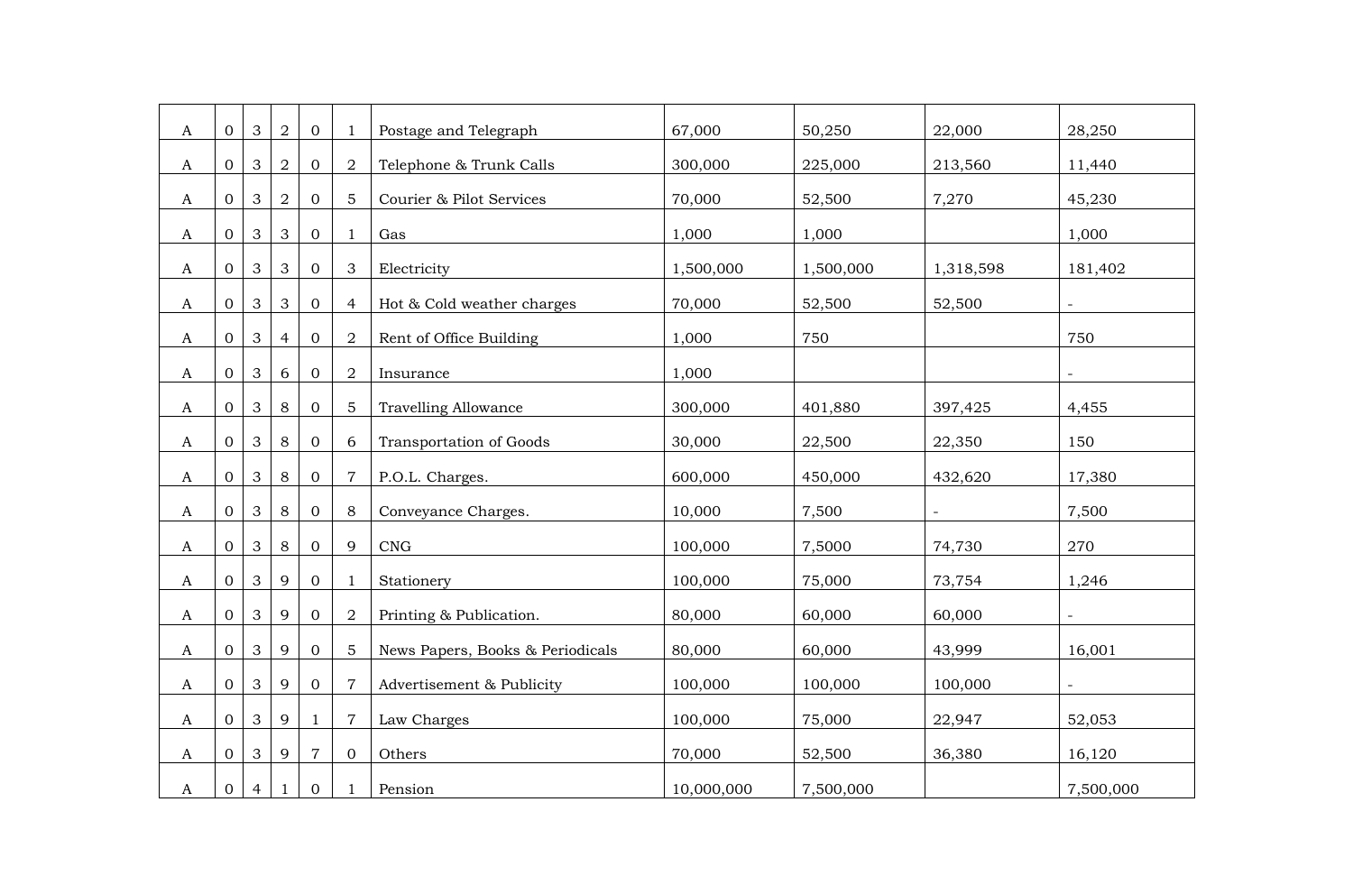| A            | $\overline{0}$ | $\mathbf{3}$   | $\overline{2}$ | $\mathbf{0}$   |                | Postage and Telegraph            | 67,000     | 50,250    | 22,000    | 28,250                   |
|--------------|----------------|----------------|----------------|----------------|----------------|----------------------------------|------------|-----------|-----------|--------------------------|
| A            | $\overline{0}$ | $\mathbf{3}$   | $\overline{2}$ | $\mathbf{O}$   | $\overline{2}$ | Telephone & Trunk Calls          | 300,000    | 225,000   | 213,560   | 11,440                   |
| A            | $\overline{0}$ | $\mathbf{3}$   | $\overline{2}$ | $\overline{0}$ | 5              | Courier & Pilot Services         | 70,000     | 52,500    | 7,270     | 45,230                   |
| A            | $\overline{0}$ | 3              | 3              | $\overline{0}$ | 1              | Gas                              | 1,000      | 1,000     |           | 1,000                    |
| A            | $\mathbf{O}$   | $\mathbf{3}$   | 3              | $\mathbf{O}$   | 3              | Electricity                      | 1,500,000  | 1,500,000 | 1,318,598 | 181,402                  |
| A            | $\overline{O}$ | $\mathbf{3}$   | $\mathbf{3}$   | $\mathbf{0}$   | 4              | Hot & Cold weather charges       | 70,000     | 52,500    | 52,500    | $\equiv$                 |
|              | $\Omega$       | 3              | 4              | $\overline{0}$ | 2              | Rent of Office Building          | 1,000      | 750       |           | 750                      |
| A            |                |                |                |                |                |                                  |            |           |           |                          |
| $\mathbf{A}$ | $\overline{0}$ | $\mathbf{3}$   | 6              | $\mathbf{0}$   | $\overline{2}$ | Insurance                        | 1,000      |           |           | $\overline{\phantom{a}}$ |
| A            | $\overline{0}$ | $\mathbf{3}$   | 8              | $\mathbf{O}$   | 5              | <b>Travelling Allowance</b>      | 300,000    | 401,880   | 397,425   | 4,455                    |
| A            | $\overline{0}$ | $\mathbf{3}$   | 8              | $\mathbf{O}$   | 6              | Transportation of Goods          | 30,000     | 22,500    | 22,350    | 150                      |
| A            | $\Omega$       | 3              | 8              | $\mathbf{0}$   | 7              | P.O.L. Charges.                  | 600,000    | 450,000   | 432,620   | 17,380                   |
| A            | $\overline{0}$ | $\mathbf{3}$   | 8              | $\overline{0}$ | 8              | Conveyance Charges.              | 10,000     | 7,500     |           | 7,500                    |
| A            | $\overline{0}$ | $\mathbf{3}$   | 8              | $\mathbf{0}$   | 9              | CNG                              | 100,000    | 7,5000    | 74,730    | 270                      |
| A            | 0              | $\mathbf{3}$   | 9              | $\overline{0}$ |                | Stationery                       | 100,000    | 75,000    | 73,754    | 1,246                    |
| A            | $\overline{0}$ | $\mathbf{3}$   | 9              | $\mathbf{O}$   | $\overline{2}$ | Printing & Publication.          | 80,000     | 60,000    | 60,000    | $\overline{a}$           |
| A            | $\overline{0}$ | $\mathbf{3}$   | 9              | $\mathbf{O}$   | 5              | News Papers, Books & Periodicals | 80,000     | 60,000    | 43,999    | 16,001                   |
| A            | $\Omega$       | $\mathbf{3}$   | 9              | $\overline{0}$ | 7              | Advertisement & Publicity        | 100,000    | 100,000   | 100,000   | $\equiv$                 |
| A            | $\Omega$       | 3              | 9              | 1              | 7              | Law Charges                      | 100,000    | 75,000    | 22,947    | 52,053                   |
| A            | $\overline{0}$ | $\mathbf{3}$   | 9              | $\overline{7}$ | $\overline{0}$ | Others                           | 70,000     | 52,500    | 36,380    | 16,120                   |
| A            | $\overline{0}$ | $\overline{4}$ | 1              | $\overline{0}$ | 1              | Pension                          | 10,000,000 | 7,500,000 |           | 7,500,000                |